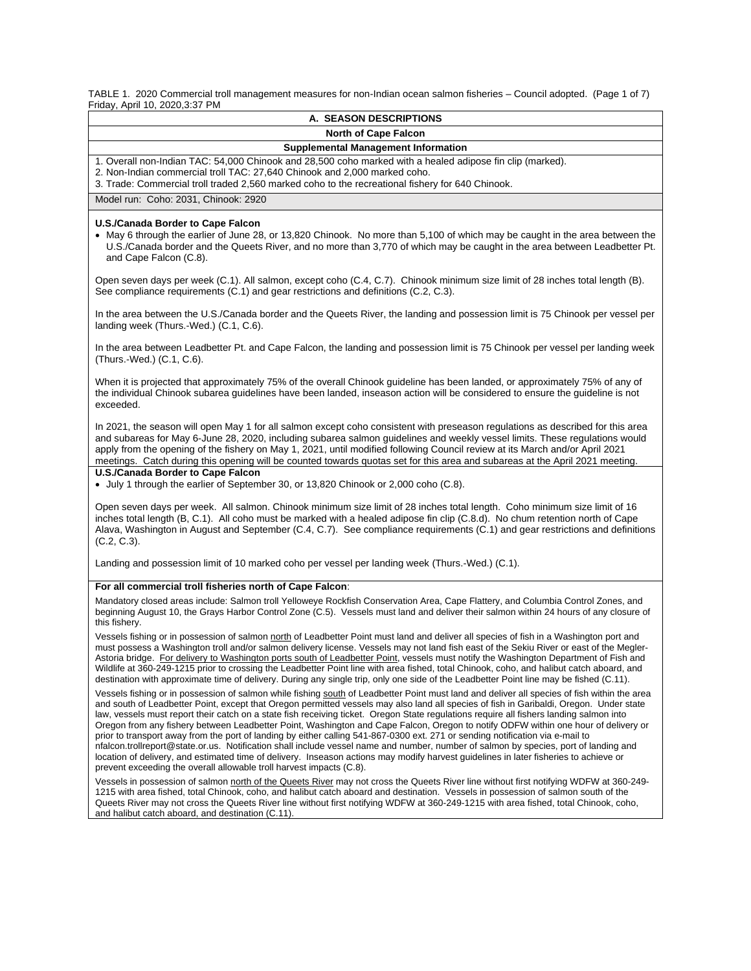TABLE 1. 2020 Commercial troll management measures for non-Indian ocean salmon fisheries – Council adopted. (Page 1 of 7) Friday, April 10, 2020,3:37 PM

| <b>A. SEASON DESCRIPTIONS</b>                                                                                                                                                                                                                                                                                                                                                                                                                                                                                                                                                                                                                                                                                                                                                                                                                                                                                                                                                                                                                                       |  |  |  |  |  |  |
|---------------------------------------------------------------------------------------------------------------------------------------------------------------------------------------------------------------------------------------------------------------------------------------------------------------------------------------------------------------------------------------------------------------------------------------------------------------------------------------------------------------------------------------------------------------------------------------------------------------------------------------------------------------------------------------------------------------------------------------------------------------------------------------------------------------------------------------------------------------------------------------------------------------------------------------------------------------------------------------------------------------------------------------------------------------------|--|--|--|--|--|--|
| <b>North of Cape Falcon</b>                                                                                                                                                                                                                                                                                                                                                                                                                                                                                                                                                                                                                                                                                                                                                                                                                                                                                                                                                                                                                                         |  |  |  |  |  |  |
| <b>Supplemental Management Information</b>                                                                                                                                                                                                                                                                                                                                                                                                                                                                                                                                                                                                                                                                                                                                                                                                                                                                                                                                                                                                                          |  |  |  |  |  |  |
| 1. Overall non-Indian TAC: 54,000 Chinook and 28,500 coho marked with a healed adipose fin clip (marked).                                                                                                                                                                                                                                                                                                                                                                                                                                                                                                                                                                                                                                                                                                                                                                                                                                                                                                                                                           |  |  |  |  |  |  |
| 2. Non-Indian commercial troll TAC: 27,640 Chinook and 2,000 marked coho.<br>3. Trade: Commercial troll traded 2,560 marked coho to the recreational fishery for 640 Chinook.                                                                                                                                                                                                                                                                                                                                                                                                                                                                                                                                                                                                                                                                                                                                                                                                                                                                                       |  |  |  |  |  |  |
| Model run: Coho: 2031, Chinook: 2920                                                                                                                                                                                                                                                                                                                                                                                                                                                                                                                                                                                                                                                                                                                                                                                                                                                                                                                                                                                                                                |  |  |  |  |  |  |
|                                                                                                                                                                                                                                                                                                                                                                                                                                                                                                                                                                                                                                                                                                                                                                                                                                                                                                                                                                                                                                                                     |  |  |  |  |  |  |
| U.S./Canada Border to Cape Falcon<br>• May 6 through the earlier of June 28, or 13,820 Chinook. No more than 5,100 of which may be caught in the area between the<br>U.S./Canada border and the Queets River, and no more than 3,770 of which may be caught in the area between Leadbetter Pt.<br>and Cape Falcon (C.8).                                                                                                                                                                                                                                                                                                                                                                                                                                                                                                                                                                                                                                                                                                                                            |  |  |  |  |  |  |
| Open seven days per week (C.1). All salmon, except coho (C.4, C.7). Chinook minimum size limit of 28 inches total length (B).<br>See compliance requirements (C.1) and gear restrictions and definitions (C.2, C.3).                                                                                                                                                                                                                                                                                                                                                                                                                                                                                                                                                                                                                                                                                                                                                                                                                                                |  |  |  |  |  |  |
| In the area between the U.S./Canada border and the Queets River, the landing and possession limit is 75 Chinook per vessel per<br>landing week (Thurs.-Wed.) (C.1, C.6).                                                                                                                                                                                                                                                                                                                                                                                                                                                                                                                                                                                                                                                                                                                                                                                                                                                                                            |  |  |  |  |  |  |
| In the area between Leadbetter Pt. and Cape Falcon, the landing and possession limit is 75 Chinook per vessel per landing week<br>(Thurs.-Wed.) (C.1, C.6).                                                                                                                                                                                                                                                                                                                                                                                                                                                                                                                                                                                                                                                                                                                                                                                                                                                                                                         |  |  |  |  |  |  |
| When it is projected that approximately 75% of the overall Chinook guideline has been landed, or approximately 75% of any of<br>the individual Chinook subarea guidelines have been landed, inseason action will be considered to ensure the guideline is not<br>exceeded.                                                                                                                                                                                                                                                                                                                                                                                                                                                                                                                                                                                                                                                                                                                                                                                          |  |  |  |  |  |  |
| In 2021, the season will open May 1 for all salmon except coho consistent with preseason regulations as described for this area<br>and subareas for May 6-June 28, 2020, including subarea salmon guidelines and weekly vessel limits. These regulations would<br>apply from the opening of the fishery on May 1, 2021, until modified following Council review at its March and/or April 2021<br>meetings. Catch during this opening will be counted towards quotas set for this area and subareas at the April 2021 meeting.                                                                                                                                                                                                                                                                                                                                                                                                                                                                                                                                      |  |  |  |  |  |  |
| U.S./Canada Border to Cape Falcon<br>• July 1 through the earlier of September 30, or 13,820 Chinook or 2,000 coho (C.8).                                                                                                                                                                                                                                                                                                                                                                                                                                                                                                                                                                                                                                                                                                                                                                                                                                                                                                                                           |  |  |  |  |  |  |
| Open seven days per week. All salmon. Chinook minimum size limit of 28 inches total length. Coho minimum size limit of 16<br>inches total length (B, C.1). All coho must be marked with a healed adipose fin clip (C.8.d). No chum retention north of Cape<br>Alava, Washington in August and September (C.4, C.7). See compliance requirements (C.1) and gear restrictions and definitions<br>(C.2, C.3).                                                                                                                                                                                                                                                                                                                                                                                                                                                                                                                                                                                                                                                          |  |  |  |  |  |  |
| Landing and possession limit of 10 marked coho per vessel per landing week (Thurs.-Wed.) (C.1).                                                                                                                                                                                                                                                                                                                                                                                                                                                                                                                                                                                                                                                                                                                                                                                                                                                                                                                                                                     |  |  |  |  |  |  |
| For all commercial troll fisheries north of Cape Falcon:                                                                                                                                                                                                                                                                                                                                                                                                                                                                                                                                                                                                                                                                                                                                                                                                                                                                                                                                                                                                            |  |  |  |  |  |  |
| Mandatory closed areas include: Salmon troll Yelloweye Rockfish Conservation Area, Cape Flattery, and Columbia Control Zones, and<br>beginning August 10, the Grays Harbor Control Zone (C.5). Vessels must land and deliver their salmon within 24 hours of any closure of<br>this fishery.                                                                                                                                                                                                                                                                                                                                                                                                                                                                                                                                                                                                                                                                                                                                                                        |  |  |  |  |  |  |
| Vessels fishing or in possession of salmon north of Leadbetter Point must land and deliver all species of fish in a Washington port and<br>must possess a Washington troll and/or salmon delivery license. Vessels may not land fish east of the Sekiu River or east of the Megler-<br>Astoria bridge. For delivery to Washington ports south of Leadbetter Point, vessels must notify the Washington Department of Fish and<br>Wildlife at 360-249-1215 prior to crossing the Leadbetter Point line with area fished, total Chinook, coho, and halibut catch aboard, and<br>destination with approximate time of delivery. During any single trip, only one side of the Leadbetter Point line may be fished (C.11).                                                                                                                                                                                                                                                                                                                                                |  |  |  |  |  |  |
| Vessels fishing or in possession of salmon while fishing south of Leadbetter Point must land and deliver all species of fish within the area<br>and south of Leadbetter Point, except that Oregon permitted vessels may also land all species of fish in Garibaldi, Oregon. Under state<br>law, vessels must report their catch on a state fish receiving ticket. Oregon State regulations require all fishers landing salmon into<br>Oregon from any fishery between Leadbetter Point, Washington and Cape Falcon, Oregon to notify ODFW within one hour of delivery or<br>prior to transport away from the port of landing by either calling 541-867-0300 ext. 271 or sending notification via e-mail to<br>nfalcon.trollreport@state.or.us. Notification shall include vessel name and number, number of salmon by species, port of landing and<br>location of delivery, and estimated time of delivery. Inseason actions may modify harvest guidelines in later fisheries to achieve or<br>prevent exceeding the overall allowable troll harvest impacts (C.8). |  |  |  |  |  |  |
| Vessels in possession of salmon north of the Queets River may not cross the Queets River line without first notifying WDFW at 360-249-<br>1215 with area fished, total Chinook, coho, and halibut catch aboard and destination. Vessels in possession of salmon south of the<br>Queets River may not cross the Queets River line without first notifying WDFW at 360-249-1215 with area fished, total Chinook, coho,<br>and halibut catch aboard, and destination (C.11).                                                                                                                                                                                                                                                                                                                                                                                                                                                                                                                                                                                           |  |  |  |  |  |  |
|                                                                                                                                                                                                                                                                                                                                                                                                                                                                                                                                                                                                                                                                                                                                                                                                                                                                                                                                                                                                                                                                     |  |  |  |  |  |  |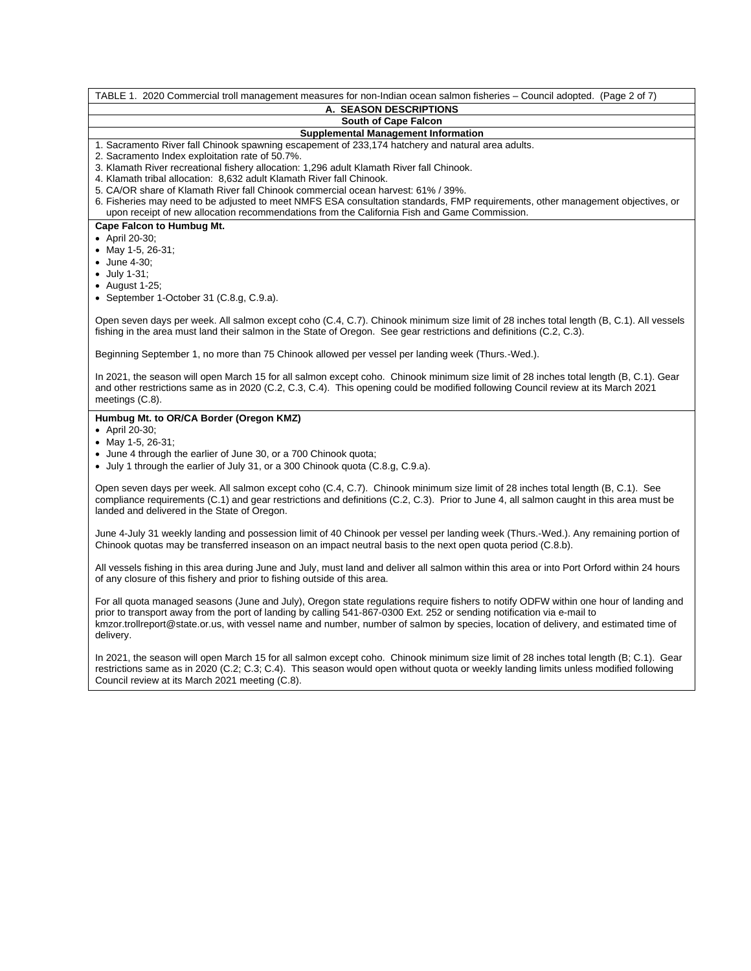TABLE 1. 2020 Commercial troll management measures for non-Indian ocean salmon fisheries – Council adopted. (Page 2 of 7) **A. SEASON DESCRIPTIONS South of Cape Falcon Supplemental Management Information** 1. Sacramento River fall Chinook spawning escapement of 233,174 hatchery and natural area adults. 2. Sacramento Index exploitation rate of 50.7%. 3. Klamath River recreational fishery allocation: 1,296 adult Klamath River fall Chinook. 4. Klamath tribal allocation: 8,632 adult Klamath River fall Chinook. 5. CA/OR share of Klamath River fall Chinook commercial ocean harvest: 61% / 39%. 6. Fisheries may need to be adjusted to meet NMFS ESA consultation standards, FMP requirements, other management objectives, or upon receipt of new allocation recommendations from the California Fish and Game Commission. **Cape Falcon to Humbug Mt.** • April 20-30; • May 1-5, 26-31; • June 4-30; • July 1-31; • August 1-25; • September 1-October 31 (C.8.g, C.9.a). Open seven days per week. All salmon except coho (C.4, C.7). Chinook minimum size limit of 28 inches total length (B, C.1). All vessels fishing in the area must land their salmon in the State of Oregon. See gear restrictions and definitions (C.2, C.3). Beginning September 1, no more than 75 Chinook allowed per vessel per landing week (Thurs.-Wed.). In 2021, the season will open March 15 for all salmon except coho. Chinook minimum size limit of 28 inches total length (B, C.1). Gear and other restrictions same as in 2020 (C.2, C.3, C.4). This opening could be modified following Council review at its March 2021 meetings (C.8). **Humbug Mt. to OR/CA Border (Oregon KMZ)** • April 20-30; • May 1-5, 26-31; • June 4 through the earlier of June 30, or a 700 Chinook quota; • July 1 through the earlier of July 31, or a 300 Chinook quota (C.8.g, C.9.a). Open seven days per week. All salmon except coho (C.4, C.7). Chinook minimum size limit of 28 inches total length (B, C.1).See compliance requirements (C.1) and gear restrictions and definitions (C.2, C.3). Prior to June 4, all salmon caught in this area must be landed and delivered in the State of Oregon. June 4-July 31 weekly landing and possession limit of 40 Chinook per vessel per landing week (Thurs.-Wed.). Any remaining portion of Chinook quotas may be transferred inseason on an impact neutral basis to the next open quota period (C.8.b). All vessels fishing in this area during June and July, must land and deliver all salmon within this area or into Port Orford within 24 hours of any closure of this fishery and prior to fishing outside of this area. For all quota managed seasons (June and July), Oregon state regulations require fishers to notify ODFW within one hour of landing and prior to transport away from the port of landing by calling 541-867-0300 Ext. 252 or sending notification via e-mail to kmzor.trollreport@state.or.us, with vessel name and number, number of salmon by species, location of delivery, and estimated time of delivery.

In 2021, the season will open March 15 for all salmon except coho. Chinook minimum size limit of 28 inches total length (B; C.1). Gear restrictions same as in 2020 (C.2; C.3; C.4). This season would open without quota or weekly landing limits unless modified following Council review at its March 2021 meeting (C.8).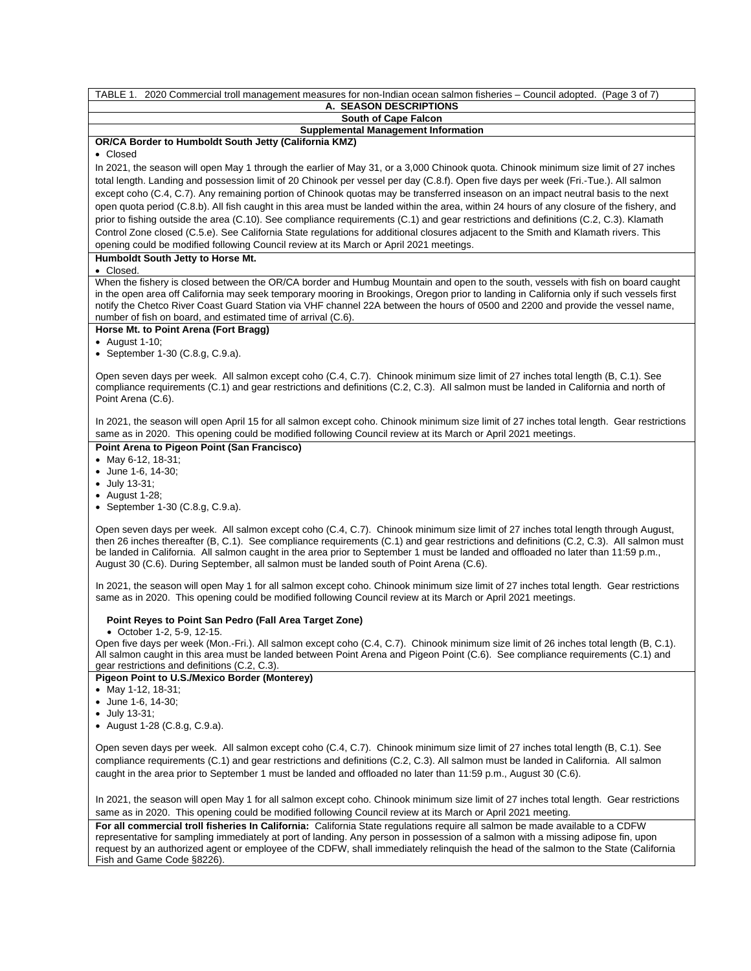| TABLE 1. 2020 Commercial troll management measures for non-Indian ocean salmon fisheries - Council adopted. (Page 3 of 7)<br>A. SEASON DESCRIPTIONS                                                                                                                                                                                                                                                                                                                                                                                                                                                                                                                                                                                                                                                                                                                                                                                          |
|----------------------------------------------------------------------------------------------------------------------------------------------------------------------------------------------------------------------------------------------------------------------------------------------------------------------------------------------------------------------------------------------------------------------------------------------------------------------------------------------------------------------------------------------------------------------------------------------------------------------------------------------------------------------------------------------------------------------------------------------------------------------------------------------------------------------------------------------------------------------------------------------------------------------------------------------|
| South of Cape Falcon                                                                                                                                                                                                                                                                                                                                                                                                                                                                                                                                                                                                                                                                                                                                                                                                                                                                                                                         |
| <b>Supplemental Management Information</b>                                                                                                                                                                                                                                                                                                                                                                                                                                                                                                                                                                                                                                                                                                                                                                                                                                                                                                   |
| OR/CA Border to Humboldt South Jetty (California KMZ)<br>• Closed                                                                                                                                                                                                                                                                                                                                                                                                                                                                                                                                                                                                                                                                                                                                                                                                                                                                            |
| In 2021, the season will open May 1 through the earlier of May 31, or a 3,000 Chinook quota. Chinook minimum size limit of 27 inches<br>total length. Landing and possession limit of 20 Chinook per vessel per day (C.8.f). Open five days per week (Fri.-Tue.). All salmon<br>except coho (C.4, C.7). Any remaining portion of Chinook quotas may be transferred inseason on an impact neutral basis to the next<br>open quota period (C.8.b). All fish caught in this area must be landed within the area, within 24 hours of any closure of the fishery, and<br>prior to fishing outside the area (C.10). See compliance requirements (C.1) and gear restrictions and definitions (C.2, C.3). Klamath<br>Control Zone closed (C.5.e). See California State regulations for additional closures adjacent to the Smith and Klamath rivers. This<br>opening could be modified following Council review at its March or April 2021 meetings. |
| Humboldt South Jetty to Horse Mt.<br>• Closed.                                                                                                                                                                                                                                                                                                                                                                                                                                                                                                                                                                                                                                                                                                                                                                                                                                                                                               |
| When the fishery is closed between the OR/CA border and Humbug Mountain and open to the south, vessels with fish on board caught<br>in the open area off California may seek temporary mooring in Brookings, Oregon prior to landing in California only if such vessels first<br>notify the Chetco River Coast Guard Station via VHF channel 22A between the hours of 0500 and 2200 and provide the vessel name,<br>number of fish on board, and estimated time of arrival (C.6).                                                                                                                                                                                                                                                                                                                                                                                                                                                            |
| Horse Mt. to Point Arena (Fort Bragg)                                                                                                                                                                                                                                                                                                                                                                                                                                                                                                                                                                                                                                                                                                                                                                                                                                                                                                        |
| • August 1-10;<br>• September 1-30 (C.8.g, C.9.a).                                                                                                                                                                                                                                                                                                                                                                                                                                                                                                                                                                                                                                                                                                                                                                                                                                                                                           |
| Open seven days per week. All salmon except coho (C.4, C.7). Chinook minimum size limit of 27 inches total length (B, C.1). See<br>compliance requirements (C.1) and gear restrictions and definitions (C.2, C.3). All salmon must be landed in California and north of<br>Point Arena (C.6).                                                                                                                                                                                                                                                                                                                                                                                                                                                                                                                                                                                                                                                |
| In 2021, the season will open April 15 for all salmon except coho. Chinook minimum size limit of 27 inches total length. Gear restrictions<br>same as in 2020. This opening could be modified following Council review at its March or April 2021 meetings.                                                                                                                                                                                                                                                                                                                                                                                                                                                                                                                                                                                                                                                                                  |
| Point Arena to Pigeon Point (San Francisco)<br>• May 6-12, 18-31;<br>• June 1-6, 14-30;<br>• July 13-31;<br>• August 1-28;<br>• September $1-30$ (C.8.g, C.9.a).                                                                                                                                                                                                                                                                                                                                                                                                                                                                                                                                                                                                                                                                                                                                                                             |
| Open seven days per week. All salmon except coho (C.4, C.7). Chinook minimum size limit of 27 inches total length through August,<br>then 26 inches thereafter (B, C.1). See compliance requirements (C.1) and gear restrictions and definitions (C.2, C.3). All salmon must<br>be landed in California. All salmon caught in the area prior to September 1 must be landed and offloaded no later than 11:59 p.m.,<br>August 30 (C.6). During September, all salmon must be landed south of Point Arena (C.6).                                                                                                                                                                                                                                                                                                                                                                                                                               |
| In 2021, the season will open May 1 for all salmon except coho. Chinook minimum size limit of 27 inches total length. Gear restrictions<br>same as in 2020. This opening could be modified following Council review at its March or April 2021 meetings.                                                                                                                                                                                                                                                                                                                                                                                                                                                                                                                                                                                                                                                                                     |
| Point Reyes to Point San Pedro (Fall Area Target Zone)<br>• October 1-2, 5-9, 12-15.<br>Open five days per week (Mon.-Fri.). All salmon except coho (C.4, C.7). Chinook minimum size limit of 26 inches total length (B, C.1).<br>All salmon caught in this area must be landed between Point Arena and Pigeon Point (C.6). See compliance requirements (C.1) and<br>gear restrictions and definitions (C.2, C.3).                                                                                                                                                                                                                                                                                                                                                                                                                                                                                                                           |
| Pigeon Point to U.S./Mexico Border (Monterey)<br>• May 1-12, 18-31;<br>• June 1-6, 14-30;                                                                                                                                                                                                                                                                                                                                                                                                                                                                                                                                                                                                                                                                                                                                                                                                                                                    |
| $\bullet$ July 13-31;<br>• August 1-28 (C.8.g, C.9.a).                                                                                                                                                                                                                                                                                                                                                                                                                                                                                                                                                                                                                                                                                                                                                                                                                                                                                       |
| Open seven days per week. All salmon except coho (C.4, C.7). Chinook minimum size limit of 27 inches total length (B, C.1). See<br>compliance requirements (C.1) and gear restrictions and definitions (C.2, C.3). All salmon must be landed in California. All salmon<br>caught in the area prior to September 1 must be landed and offloaded no later than 11:59 p.m., August 30 (C.6).                                                                                                                                                                                                                                                                                                                                                                                                                                                                                                                                                    |
| In 2021, the season will open May 1 for all salmon except coho. Chinook minimum size limit of 27 inches total length. Gear restrictions<br>same as in 2020. This opening could be modified following Council review at its March or April 2021 meeting.                                                                                                                                                                                                                                                                                                                                                                                                                                                                                                                                                                                                                                                                                      |
| For all commercial troll fisheries In California: California State regulations require all salmon be made available to a CDFW                                                                                                                                                                                                                                                                                                                                                                                                                                                                                                                                                                                                                                                                                                                                                                                                                |

**For all commercial troll fisheries In California:** California State regulations require all salmon be made available to a CDFW representative for sampling immediately at port of landing. Any person in possession of a salmon with a missing adipose fin, upon request by an authorized agent or employee of the CDFW, shall immediately relinquish the head of the salmon to the State (California Fish and Game Code §8226).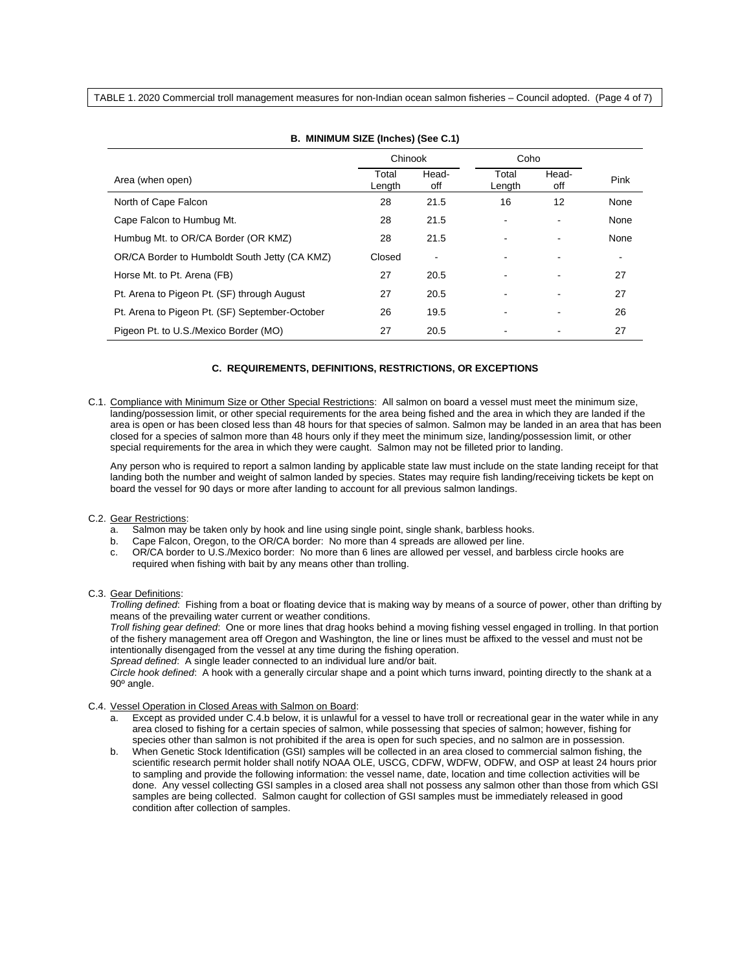TABLE 1. 2020 Commercial troll management measures for non-Indian ocean salmon fisheries – Council adopted. (Page 4 of 7)

|                                                | Chinook         |              | Coho            |                   |      |
|------------------------------------------------|-----------------|--------------|-----------------|-------------------|------|
| Area (when open)                               | Total<br>Length | Head-<br>off | Total<br>Length | Head-<br>off      | Pink |
| North of Cape Falcon                           | 28              | 21.5         | 16              | $12 \overline{ }$ | None |
| Cape Falcon to Humbug Mt.                      | 28              | 21.5         |                 |                   | None |
| Humbug Mt. to OR/CA Border (OR KMZ)            | 28              | 21.5         |                 | ۰                 | None |
| OR/CA Border to Humboldt South Jetty (CA KMZ)  | Closed          | ٠            |                 |                   |      |
| Horse Mt. to Pt. Arena (FB)                    | 27              | 20.5         |                 |                   | 27   |
| Pt. Arena to Pigeon Pt. (SF) through August    | 27              | 20.5         |                 |                   | 27   |
| Pt. Arena to Pigeon Pt. (SF) September-October | 26              | 19.5         |                 | -                 | 26   |
| Pigeon Pt. to U.S./Mexico Border (MO)          | 27              | 20.5         |                 |                   | 27   |

### **B. MINIMUM SIZE (Inches) (See C.1)**

## **C. REQUIREMENTS, DEFINITIONS, RESTRICTIONS, OR EXCEPTIONS**

C.1. Compliance with Minimum Size or Other Special Restrictions: All salmon on board a vessel must meet the minimum size, landing/possession limit, or other special requirements for the area being fished and the area in which they are landed if the area is open or has been closed less than 48 hours for that species of salmon. Salmon may be landed in an area that has been closed for a species of salmon more than 48 hours only if they meet the minimum size, landing/possession limit, or other special requirements for the area in which they were caught. Salmon may not be filleted prior to landing.

Any person who is required to report a salmon landing by applicable state law must include on the state landing receipt for that landing both the number and weight of salmon landed by species. States may require fish landing/receiving tickets be kept on board the vessel for 90 days or more after landing to account for all previous salmon landings.

#### C.2. Gear Restrictions:

- a. Salmon may be taken only by hook and line using single point, single shank, barbless hooks.
- b. Cape Falcon, Oregon, to the OR/CA border: No more than 4 spreads are allowed per line.
- c. OR/CA border to U.S./Mexico border: No more than 6 lines are allowed per vessel, and barbless circle hooks are required when fishing with bait by any means other than trolling.
- C.3. Gear Definitions:

*Trolling defined*: Fishing from a boat or floating device that is making way by means of a source of power, other than drifting by means of the prevailing water current or weather conditions.

*Troll fishing gear defined*: One or more lines that drag hooks behind a moving fishing vessel engaged in trolling. In that portion of the fishery management area off Oregon and Washington, the line or lines must be affixed to the vessel and must not be intentionally disengaged from the vessel at any time during the fishing operation. *Spread defined*: A single leader connected to an individual lure and/or bait.

*Circle hook defined*: A hook with a generally circular shape and a point which turns inward, pointing directly to the shank at a 90º angle.

## C.4. Vessel Operation in Closed Areas with Salmon on Board:

- Except as provided under C.4.b below, it is unlawful for a vessel to have troll or recreational gear in the water while in any area closed to fishing for a certain species of salmon, while possessing that species of salmon; however, fishing for species other than salmon is not prohibited if the area is open for such species, and no salmon are in possession.
- b. When Genetic Stock Identification (GSI) samples will be collected in an area closed to commercial salmon fishing, the scientific research permit holder shall notify NOAA OLE, USCG, CDFW, WDFW, ODFW, and OSP at least 24 hours prior to sampling and provide the following information: the vessel name, date, location and time collection activities will be done. Any vessel collecting GSI samples in a closed area shall not possess any salmon other than those from which GSI samples are being collected. Salmon caught for collection of GSI samples must be immediately released in good condition after collection of samples.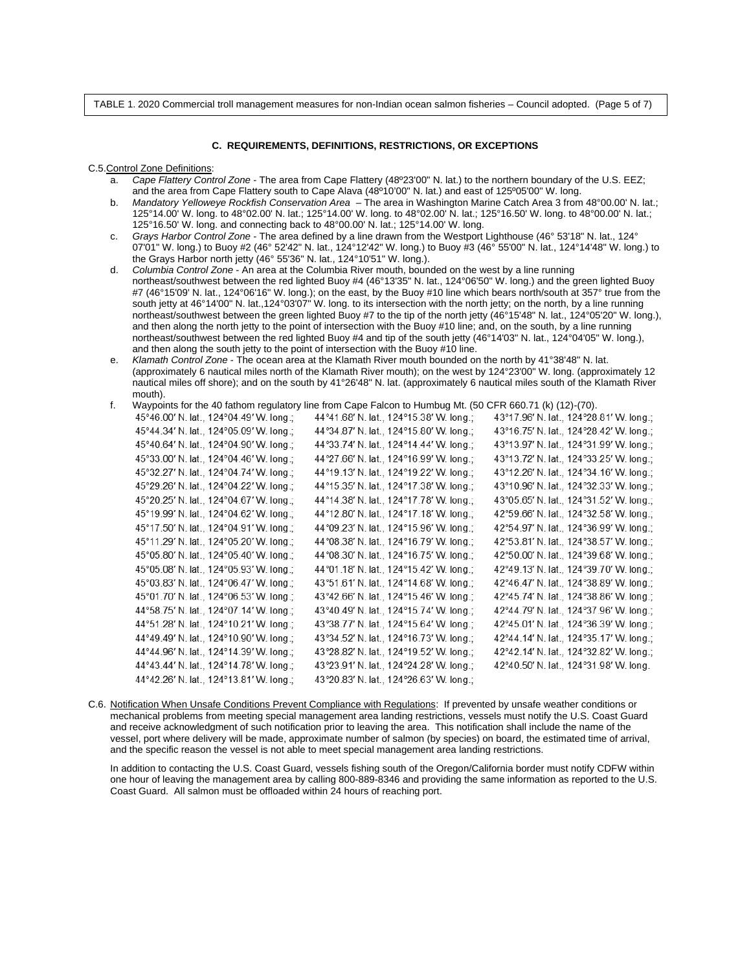TABLE 1. 2020 Commercial troll management measures for non-Indian ocean salmon fisheries – Council adopted. (Page 5 of 7)

#### **C. REQUIREMENTS, DEFINITIONS, RESTRICTIONS, OR EXCEPTIONS**

C.5.Control Zone Definitions:

- a. *Cape Flattery Control Zone*  The area from Cape Flattery (48º23'00" N. lat.) to the northern boundary of the U.S. EEZ; and the area from Cape Flattery south to Cape Alava (48º10'00" N. lat.) and east of 125º05'00" W. long.
- b. *Mandatory Yelloweye Rockfish Conservation Area* The area in Washington Marine Catch Area 3 from 48°00.00' N. lat.; 125°14.00' W. long. to 48°02.00' N. lat.; 125°14.00' W. long. to 48°02.00' N. lat.; 125°16.50' W. long. to 48°00.00' N. lat.; 125°16.50' W. long. and connecting back to 48°00.00' N. lat.; 125°14.00' W. long.
- c. *Grays Harbor Control Zone* The area defined by a line drawn from the Westport Lighthouse (46° 53'18" N. lat., 124° 07'01" W. long.) to Buoy #2 (46° 52'42" N. lat., 124°12'42" W. long.) to Buoy #3 (46° 55'00" N. lat., 124°14'48" W. long.) to the Grays Harbor north jetty (46° 55'36" N. lat., 124°10'51" W. long.).
- d. *Columbia Control Zone* An area at the Columbia River mouth, bounded on the west by a line running northeast/southwest between the red lighted Buoy #4 (46°13'35" N. lat., 124°06'50" W. long.) and the green lighted Buoy #7 (46°15'09' N. lat., 124°06'16" W. long.); on the east, by the Buoy #10 line which bears north/south at 357° true from the south jetty at 46°14'00" N. lat.,124°03'07" W. long. to its intersection with the north jetty; on the north, by a line running northeast/southwest between the green lighted Buoy #7 to the tip of the north jetty (46°15'48" N. lat., 124°05'20" W. long.), and then along the north jetty to the point of intersection with the Buoy #10 line; and, on the south, by a line running northeast/southwest between the red lighted Buoy #4 and tip of the south jetty (46°14'03" N. lat., 124°04'05" W. long.), and then along the south jetty to the point of intersection with the Buoy #10 line.
- e. *Klamath Control Zone* The ocean area at the Klamath River mouth bounded on the north by 41°38'48" N. lat. (approximately 6 nautical miles north of the Klamath River mouth); on the west by 124°23'00" W. long. (approximately 12 nautical miles off shore); and on the south by 41°26'48" N. lat. (approximately 6 nautical miles south of the Klamath River mouth).
- f. Waypoints for the 40 fathom regulatory line from Cape Falcon to Humbug Mt. (50 CFR 660.71 (k) (12)-(70).

| 45°46.00' N. lat., 124°04.49' W. long.; | 44°41.68' N. lat., 124°15.38' W. long.; | 43°17.96' N. lat., 124°28.81' W. long.; |
|-----------------------------------------|-----------------------------------------|-----------------------------------------|
| 45°44.34' N. lat., 124°05.09' W. long.; | 44°34.87' N. lat., 124°15.80' W. long.; | 43°16.75' N. lat., 124°28.42' W. long.; |
| 45°40.64' N. lat., 124°04.90' W. long.; | 44°33.74' N. lat., 124°14.44' W. long.; | 43°13.97' N. lat., 124°31.99' W. long.; |
| 45°33.00' N. lat., 124°04.46' W. long.; | 44°27.66' N. lat., 124°16.99' W. long.; | 43°13.72' N. lat., 124°33.25' W. long.; |
| 45°32.27' N. lat., 124°04.74' W. long.; | 44°19.13' N. lat., 124°19.22' W. long.; | 43°12.26' N. lat., 124°34.16' W. long.; |
| 45°29.26' N. lat., 124°04.22' W. long.; | 44°15.35' N. lat., 124°17.38' W. long.; | 43°10.96' N. lat., 124°32.33' W. long.; |
| 45°20.25' N. lat., 124°04.67' W. long.; | 44°14.38' N. lat., 124°17.78' W. long.; | 43°05.65' N. lat., 124°31.52' W. long.; |
| 45°19.99' N. lat., 124°04.62' W. long.; | 44°12.80' N. lat., 124°17.18' W. long.; | 42°59.66' N. lat., 124°32.58' W. long.; |
| 45°17.50' N. lat., 124°04.91' W. long.; | 44°09.23' N. lat., 124°15.96' W. long.; | 42°54.97' N. lat., 124°36.99' W. long.; |
| 45°11.29' N. lat., 124°05.20' W. long.; | 44°08.38' N. lat., 124°16.79' W. long.; | 42°53.81' N. lat., 124°38.57' W. long.; |
| 45°05.80' N. lat., 124°05.40' W. long.; | 44°08.30' N. lat., 124°16.75' W. long.; | 42°50.00' N. lat., 124°39.68' W. long.; |
| 45°05.08' N. lat., 124°05.93' W. long.; | 44°01.18' N. lat., 124°15.42' W. long.; | 42°49.13' N. lat., 124°39.70' W. long.; |
| 45°03.83' N. lat., 124°06.47' W. long.; | 43°51.61' N. lat., 124°14.68' W. long.; | 42°46.47' N. lat., 124°38.89' W. long.; |
| 45°01.70' N. lat., 124°06.53' W. long.; | 43°42.66' N. lat., 124°15.46' W. long.; | 42°45.74' N. lat., 124°38.86' W. long.; |
| 44°58.75' N. lat., 124°07.14' W. long.; | 43°40.49' N. lat., 124°15.74' W. long.; | 42°44.79' N. lat., 124°37.96' W. long.; |
| 44°51.28' N. lat., 124°10.21' W. long.; | 43°38.77' N. lat., 124°15.64' W. long.; | 42°45.01' N. lat., 124°36.39' W. long.; |
| 44°49.49' N. lat., 124°10.90' W. long.; | 43°34.52' N. lat., 124°16.73' W. long.; | 42°44.14' N. lat., 124°35.17' W. long.; |
| 44°44.96' N. lat., 124°14.39' W. long.; | 43°28.82' N. lat., 124°19.52' W. long.; | 42°42.14' N. lat., 124°32.82' W. long.; |
| 44°43.44' N. lat., 124°14.78' W. long.; | 43°23.91' N. lat., 124°24.28' W. long.; | 42°40.50' N. lat., 124°31.98' W. long.  |
| 44°42.26' N. lat., 124°13.81' W. long.; | 43°20.83' N. lat., 124°26.63' W. long.; |                                         |

C.6. Notification When Unsafe Conditions Prevent Compliance with Regulations: If prevented by unsafe weather conditions or mechanical problems from meeting special management area landing restrictions, vessels must notify the U.S. Coast Guard and receive acknowledgment of such notification prior to leaving the area. This notification shall include the name of the vessel, port where delivery will be made, approximate number of salmon (by species) on board, the estimated time of arrival, and the specific reason the vessel is not able to meet special management area landing restrictions.

In addition to contacting the U.S. Coast Guard, vessels fishing south of the Oregon/California border must notify CDFW within one hour of leaving the management area by calling 800-889-8346 and providing the same information as reported to the U.S. Coast Guard. All salmon must be offloaded within 24 hours of reaching port.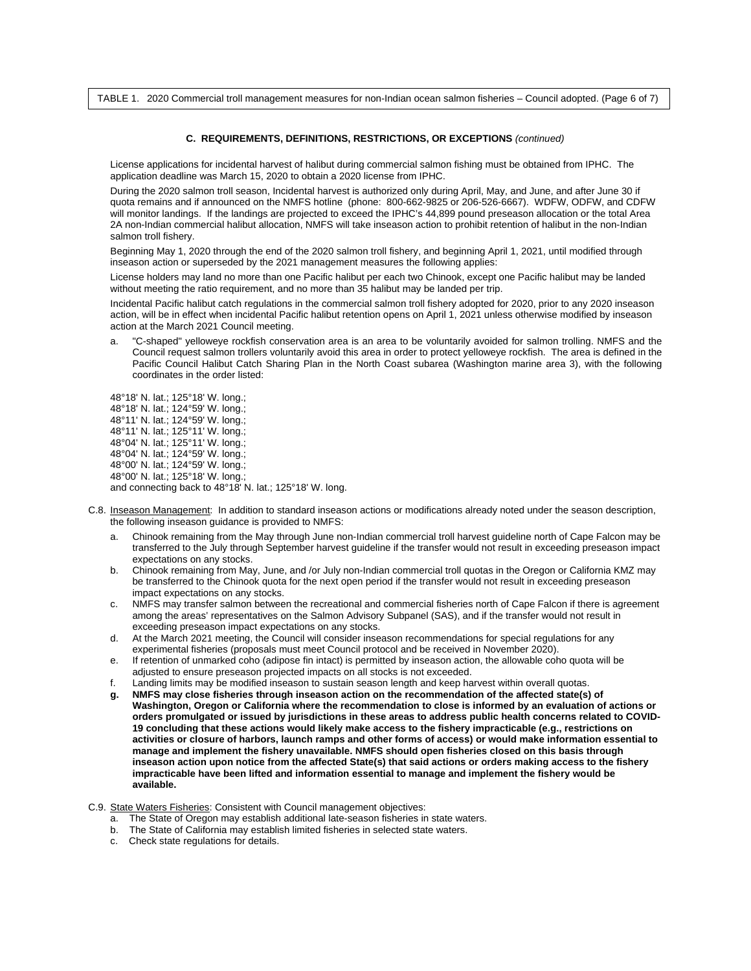TABLE 1. 2020 Commercial troll management measures for non-Indian ocean salmon fisheries – Council adopted. (Page 6 of 7)

#### **C. REQUIREMENTS, DEFINITIONS, RESTRICTIONS, OR EXCEPTIONS** *(continued)*

License applications for incidental harvest of halibut during commercial salmon fishing must be obtained from IPHC. The application deadline was March 15, 2020 to obtain a 2020 license from IPHC.

During the 2020 salmon troll season, Incidental harvest is authorized only during April, May, and June, and after June 30 if quota remains and if announced on the NMFS hotline (phone: 800-662-9825 or 206-526-6667). WDFW, ODFW, and CDFW will monitor landings. If the landings are projected to exceed the IPHC's 44,899 pound preseason allocation or the total Area 2A non-Indian commercial halibut allocation, NMFS will take inseason action to prohibit retention of halibut in the non-Indian salmon troll fishery.

Beginning May 1, 2020 through the end of the 2020 salmon troll fishery, and beginning April 1, 2021, until modified through inseason action or superseded by the 2021 management measures the following applies:

License holders may land no more than one Pacific halibut per each two Chinook, except one Pacific halibut may be landed without meeting the ratio requirement, and no more than 35 halibut may be landed per trip.

Incidental Pacific halibut catch regulations in the commercial salmon troll fishery adopted for 2020, prior to any 2020 inseason action, will be in effect when incidental Pacific halibut retention opens on April 1, 2021 unless otherwise modified by inseason action at the March 2021 Council meeting.

a. "C-shaped" yelloweye rockfish conservation area is an area to be voluntarily avoided for salmon trolling. NMFS and the Council request salmon trollers voluntarily avoid this area in order to protect yelloweye rockfish. The area is defined in the Pacific Council Halibut Catch Sharing Plan in the North Coast subarea (Washington marine area 3), with the following coordinates in the order listed:

48°18' N. lat.; 125°18' W. long.; 48°18' N. lat.; 124°59' W. long.; 48°11' N. lat.; 124°59' W. long.; 48°11' N. lat.; 125°11' W. long.; 48°04' N. lat.; 125°11' W. long.; 48°04' N. lat.; 124°59' W. long.; 48°00' N. lat.; 124°59' W. long.; 48°00' N. lat.; 125°18' W. long.; and connecting back to 48°18' N. lat.; 125°18' W. long.

- C.8. Inseason Management: In addition to standard inseason actions or modifications already noted under the season description, the following inseason guidance is provided to NMFS:
	- a. Chinook remaining from the May through June non-Indian commercial troll harvest guideline north of Cape Falcon may be transferred to the July through September harvest guideline if the transfer would not result in exceeding preseason impact expectations on any stocks.
	- b. Chinook remaining from May, June, and /or July non-Indian commercial troll quotas in the Oregon or California KMZ may be transferred to the Chinook quota for the next open period if the transfer would not result in exceeding preseason impact expectations on any stocks.
	- c. NMFS may transfer salmon between the recreational and commercial fisheries north of Cape Falcon if there is agreement among the areas' representatives on the Salmon Advisory Subpanel (SAS), and if the transfer would not result in exceeding preseason impact expectations on any stocks.
	- d. At the March 2021 meeting, the Council will consider inseason recommendations for special regulations for any experimental fisheries (proposals must meet Council protocol and be received in November 2020).
	- e. If retention of unmarked coho (adipose fin intact) is permitted by inseason action, the allowable coho quota will be adjusted to ensure preseason projected impacts on all stocks is not exceeded.
	- f. Landing limits may be modified inseason to sustain season length and keep harvest within overall quotas.
	- **g. NMFS may close fisheries through inseason action on the recommendation of the affected state(s) of Washington, Oregon or California where the recommendation to close is informed by an evaluation of actions or orders promulgated or issued by jurisdictions in these areas to address public health concerns related to COVID-19 concluding that these actions would likely make access to the fishery impracticable (e.g., restrictions on activities or closure of harbors, launch ramps and other forms of access) or would make information essential to manage and implement the fishery unavailable. NMFS should open fisheries closed on this basis through inseason action upon notice from the affected State(s) that said actions or orders making access to the fishery impracticable have been lifted and information essential to manage and implement the fishery would be available.**
- C.9. State Waters Fisheries: Consistent with Council management objectives:
	- a. The State of Oregon may establish additional late-season fisheries in state waters.
	- b. The State of California may establish limited fisheries in selected state waters.
	- c. Check state regulations for details.